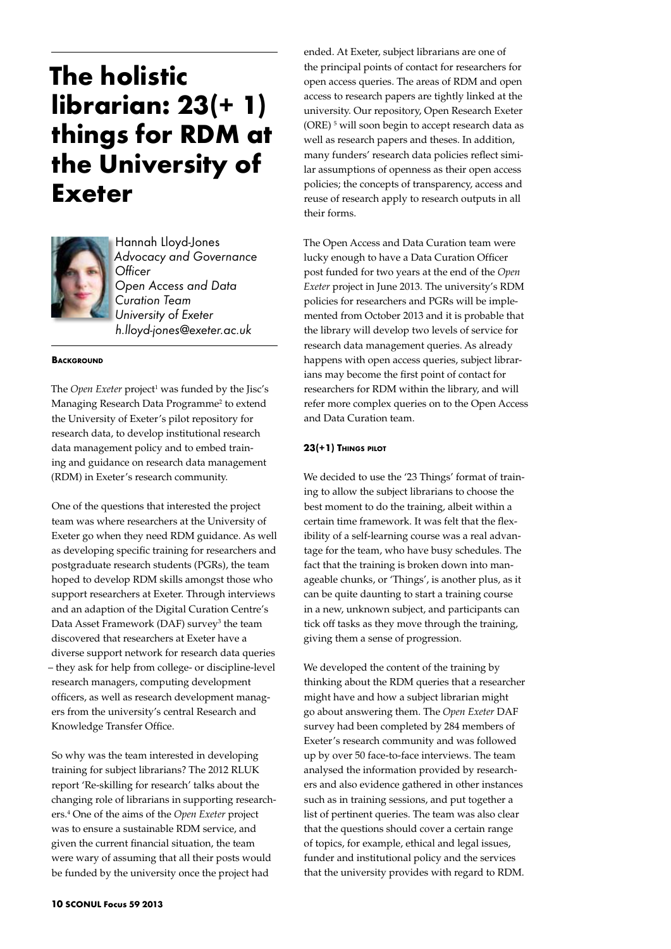# **The holistic librarian: 23(+ 1) things for RDM at the University of Exeter**



Hannah Lloyd-Jones *Advocacy and Governance Officer Open Access and Data Curation Team University of Exeter h.lloyd-jones@exeter.ac.uk*

#### **BACKGROUND**

The *Open Exeter* project<sup>1</sup> was funded by the Jisc's Managing Research Data Programme<sup>2</sup> to extend the University of Exeter's pilot repository for research data, to develop institutional research data management policy and to embed training and guidance on research data management (RDM) in Exeter's research community.

One of the questions that interested the project team was where researchers at the University of Exeter go when they need RDM guidance. As well as developing specific training for researchers and postgraduate research students (PGRs), the team hoped to develop RDM skills amongst those who support researchers at Exeter. Through interviews and an adaption of the Digital Curation Centre's Data Asset Framework (DAF) survey<sup>3</sup> the team discovered that researchers at Exeter have a diverse support network for research data queries – they ask for help from college- or discipline-level research managers, computing development officers, as well as research development managers from the university's central Research and Knowledge Transfer Office.

So why was the team interested in developing training for subject librarians? The 2012 RLUK report 'Re-skilling for research' talks about the changing role of librarians in supporting researchers.4 One of the aims of the *Open Exeter* project was to ensure a sustainable RDM service, and given the current financial situation, the team were wary of assuming that all their posts would be funded by the university once the project had

ended. At Exeter, subject librarians are one of the principal points of contact for researchers for open access queries. The areas of RDM and open access to research papers are tightly linked at the university. Our repository, Open Research Exeter (ORE) 5 will soon begin to accept research data as well as research papers and theses. In addition, many funders' research data policies reflect similar assumptions of openness as their open access policies; the concepts of transparency, access and reuse of research apply to research outputs in all their forms.

The Open Access and Data Curation team were lucky enough to have a Data Curation Officer post funded for two years at the end of the *Open Exeter* project in June 2013. The university's RDM policies for researchers and PGRs will be implemented from October 2013 and it is probable that the library will develop two levels of service for research data management queries. As already happens with open access queries, subject librarians may become the first point of contact for researchers for RDM within the library, and will refer more complex queries on to the Open Access and Data Curation team.

#### **23(+1) Things pilot**

We decided to use the '23 Things' format of training to allow the subject librarians to choose the best moment to do the training, albeit within a certain time framework. It was felt that the flexibility of a self-learning course was a real advantage for the team, who have busy schedules. The fact that the training is broken down into manageable chunks, or 'Things', is another plus, as it can be quite daunting to start a training course in a new, unknown subject, and participants can tick off tasks as they move through the training, giving them a sense of progression.

We developed the content of the training by thinking about the RDM queries that a researcher might have and how a subject librarian might go about answering them. The *Open Exeter* DAF survey had been completed by 284 members of Exeter's research community and was followed up by over 50 face-to-face interviews. The team analysed the information provided by researchers and also evidence gathered in other instances such as in training sessions, and put together a list of pertinent queries. The team was also clear that the questions should cover a certain range of topics, for example, ethical and legal issues, funder and institutional policy and the services that the university provides with regard to RDM.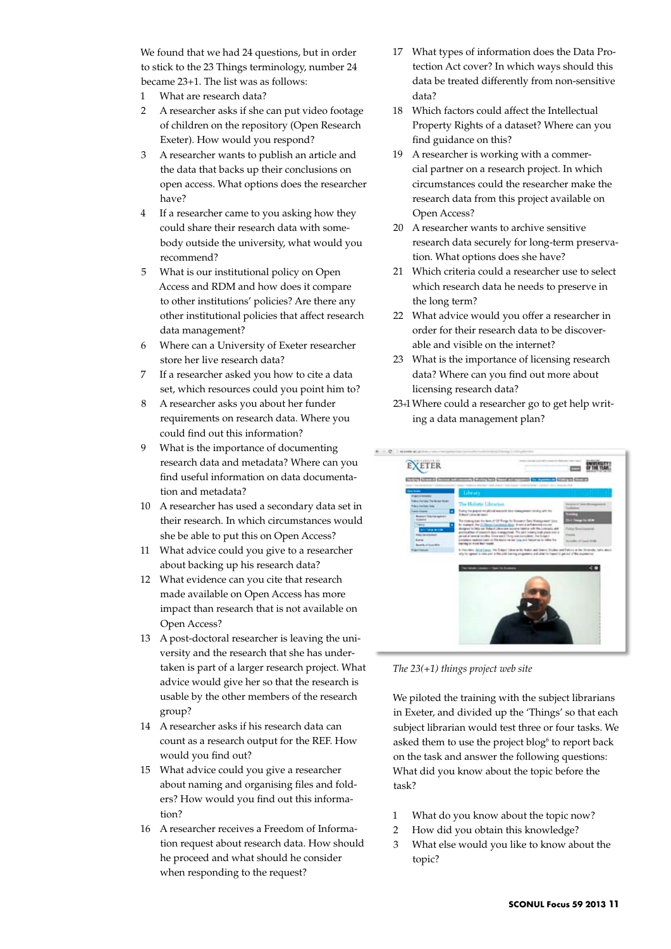We found that we had 24 questions, but in order to stick to the 23 Things terminology, number 24 became 23+1. The list was as follows:

- 1 What are research data?
- 2 A researcher asks if she can put video footage of children on the repository (Open Research Exeter). How would you respond?
- 3 A researcher wants to publish an article and the data that backs up their conclusions on open access. What options does the researcher have?
- 4 If a researcher came to you asking how they could share their research data with somebody outside the university, what would you recommend?
- 5 What is our institutional policy on Open Access and RDM and how does it compare to other institutions' policies? Are there any other institutional policies that affect research data management?
- 6 Where can a University of Exeter researcher store her live research data?
- 7 If a researcher asked you how to cite a data set, which resources could you point him to?
- 8 A researcher asks you about her funder requirements on research data. Where you could find out this information?
- 9 What is the importance of documenting research data and metadata? Where can you find useful information on data documentation and metadata?
- 10 A researcher has used a secondary data set in their research. In which circumstances would she be able to put this on Open Access?
- 11 What advice could you give to a researcher about backing up his research data?
- 12 What evidence can you cite that research made available on Open Access has more impact than research that is not available on Open Access?
- 13 A post-doctoral researcher is leaving the university and the research that she has undertaken is part of a larger research project. What advice would give her so that the research is usable by the other members of the research group?
- 14 A researcher asks if his research data can count as a research output for the REF. How would you find out?
- 15 What advice could you give a researcher about naming and organising files and folders? How would you find out this information?
- 16 A researcher receives a Freedom of Information request about research data. How should he proceed and what should he consider when responding to the request?
- 17 What types of information does the Data Protection Act cover? In which ways should this data be treated differently from non-sensitive data?
- 18 Which factors could affect the Intellectual Property Rights of a dataset? Where can you find guidance on this?
- 19 A researcher is working with a commercial partner on a research project. In which circumstances could the researcher make the research data from this project available on Open Access?
- 20 A researcher wants to archive sensitive research data securely for long-term preservation. What options does she have?
- 21 Which criteria could a researcher use to select which research data he needs to preserve in the long term?
- 22 What advice would you offer a researcher in order for their research data to be discoverable and visible on the internet?
- 23 What is the importance of licensing research data? Where can you find out more about licensing research data?
- 23+1Where could a researcher go to get help writing a data management plan?



*The 23(+1) things project web site*

We piloted the training with the subject librarians in Exeter, and divided up the 'Things' so that each subject librarian would test three or four tasks. We asked them to use the project blog<sup>6</sup> to report back on the task and answer the following questions: What did you know about the topic before the task?

- 1 What do you know about the topic now?
- 2 How did you obtain this knowledge?
- 3 What else would you like to know about the topic?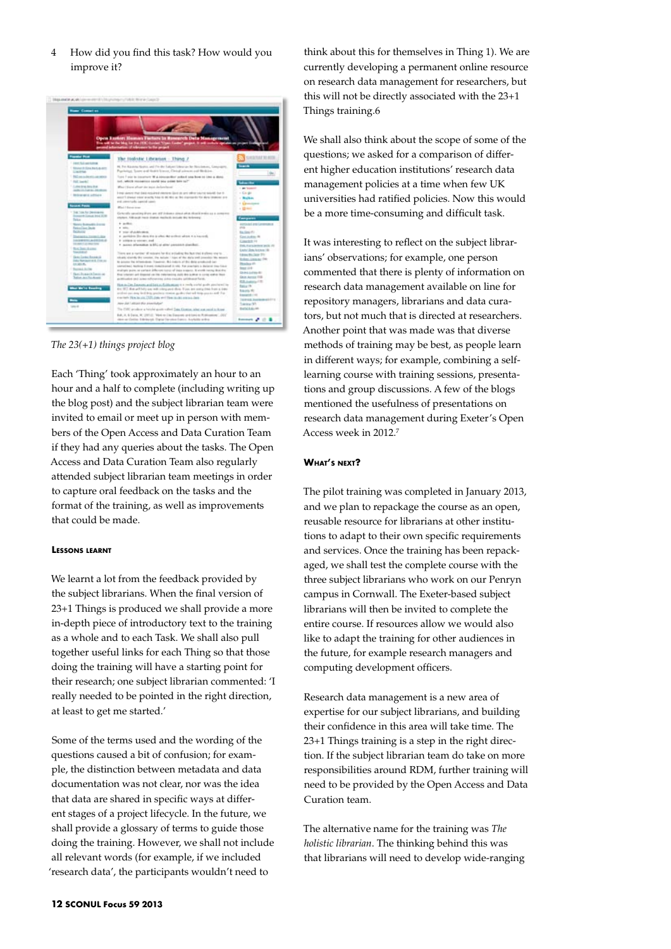4 How did you find this task? How would you improve it?



*The 23(+1) things project blog*

Each 'Thing' took approximately an hour to an hour and a half to complete (including writing up the blog post) and the subject librarian team were invited to email or meet up in person with members of the Open Access and Data Curation Team if they had any queries about the tasks. The Open Access and Data Curation Team also regularly attended subject librarian team meetings in order to capture oral feedback on the tasks and the format of the training, as well as improvements that could be made.

### **Lessons learnt**

We learnt a lot from the feedback provided by the subject librarians. When the final version of 23+1 Things is produced we shall provide a more in-depth piece of introductory text to the training as a whole and to each Task. We shall also pull together useful links for each Thing so that those doing the training will have a starting point for their research; one subject librarian commented: 'I really needed to be pointed in the right direction, at least to get me started.'

Some of the terms used and the wording of the questions caused a bit of confusion; for example, the distinction between metadata and data documentation was not clear, nor was the idea that data are shared in specific ways at different stages of a project lifecycle. In the future, we shall provide a glossary of terms to guide those doing the training. However, we shall not include all relevant words (for example, if we included 'research data', the participants wouldn't need to

think about this for themselves in Thing 1). We are currently developing a permanent online resource on research data management for researchers, but this will not be directly associated with the 23+1 Things training.6

We shall also think about the scope of some of the questions; we asked for a comparison of different higher education institutions' research data management policies at a time when few UK universities had ratified policies. Now this would be a more time-consuming and difficult task.

It was interesting to reflect on the subject librarians' observations; for example, one person commented that there is plenty of information on research data management available on line for repository managers, librarians and data curators, but not much that is directed at researchers. Another point that was made was that diverse methods of training may be best, as people learn in different ways; for example, combining a selflearning course with training sessions, presentations and group discussions. A few of the blogs mentioned the usefulness of presentations on research data management during Exeter's Open Access week in 2012.7

### **What's next?**

The pilot training was completed in January 2013, and we plan to repackage the course as an open, reusable resource for librarians at other institutions to adapt to their own specific requirements and services. Once the training has been repackaged, we shall test the complete course with the three subject librarians who work on our Penryn campus in Cornwall. The Exeter-based subject librarians will then be invited to complete the entire course. If resources allow we would also like to adapt the training for other audiences in the future, for example research managers and computing development officers.

Research data management is a new area of expertise for our subject librarians, and building their confidence in this area will take time. The 23+1 Things training is a step in the right direction. If the subject librarian team do take on more responsibilities around RDM, further training will need to be provided by the Open Access and Data Curation team.

The alternative name for the training was *The holistic librarian*. The thinking behind this was that librarians will need to develop wide-ranging